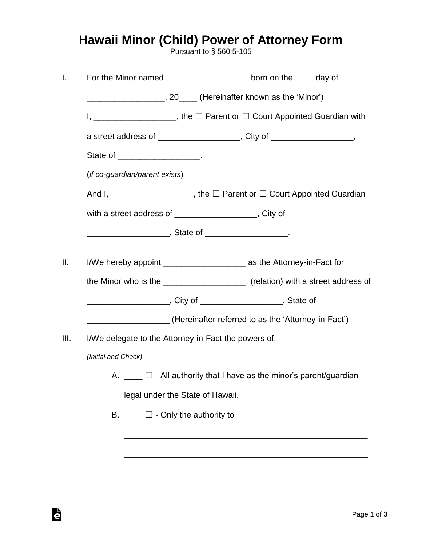## **Hawaii Minor (Child) Power of Attorney Form**

Pursuant to § 560:5-105

| I.   |                                                                             | For the Minor named ________________________ born on the _____ day of                |  |  |
|------|-----------------------------------------------------------------------------|--------------------------------------------------------------------------------------|--|--|
|      | _____________________, 20_____ (Hereinafter known as the 'Minor')           |                                                                                      |  |  |
|      |                                                                             | I, ______________________, the $\Box$ Parent or $\Box$ Court Appointed Guardian with |  |  |
|      |                                                                             | a street address of ____________________, City of _________________,                 |  |  |
|      | State of _____________________.                                             |                                                                                      |  |  |
|      | (if co-guardian/parent exists)                                              |                                                                                      |  |  |
|      |                                                                             | And I, _____________________, the □ Parent or □ Court Appointed Guardian             |  |  |
|      | with a street address of ____________________, City of                      |                                                                                      |  |  |
|      |                                                                             |                                                                                      |  |  |
| ΙΙ.  |                                                                             | I/We hereby appoint ______________________________ as the Attorney-in-Fact for       |  |  |
|      |                                                                             | the Minor who is the ___________________, (relation) with a street address of        |  |  |
|      |                                                                             |                                                                                      |  |  |
|      |                                                                             |                                                                                      |  |  |
| III. | (Hereinafter referred to as the 'Attorney-in-Fact')                         |                                                                                      |  |  |
|      | I/We delegate to the Attorney-in-Fact the powers of:                        |                                                                                      |  |  |
|      | (Initial and Check)                                                         |                                                                                      |  |  |
|      | A. $\Box$ $\Box$ - All authority that I have as the minor's parent/guardian |                                                                                      |  |  |
|      | legal under the State of Hawaii.                                            |                                                                                      |  |  |
|      |                                                                             |                                                                                      |  |  |
|      |                                                                             |                                                                                      |  |  |
|      |                                                                             |                                                                                      |  |  |

è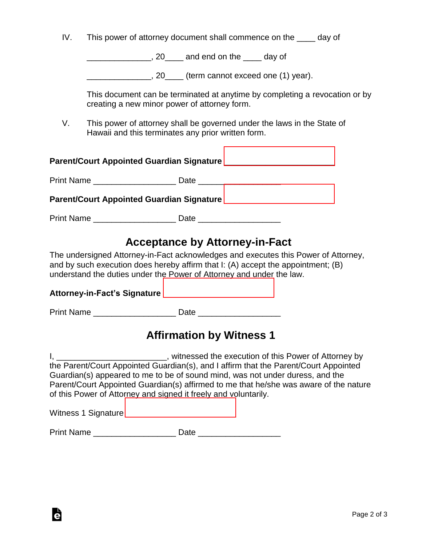| IV. | This power of attorney document shall commence on the |  | day of |
|-----|-------------------------------------------------------|--|--------|
|     |                                                       |  |        |

\_\_\_\_\_\_\_\_\_\_\_\_\_\_, 20\_\_\_\_ and end on the \_\_\_\_ day of

\_\_\_\_\_\_\_\_\_\_\_\_\_\_, 20\_\_\_\_ (term cannot exceed one (1) year).

This document can be terminated at anytime by completing a revocation or by creating a new minor power of attorney form.

V. This power of attorney shall be governed under the laws in the State of Hawaii and this terminates any prior written form.

| <b>Parent/Court Appointed Guardian Signature</b> |      |  |  |  |
|--------------------------------------------------|------|--|--|--|
| <b>Print Name Example 20</b>                     | Date |  |  |  |
| <b>Parent/Court Appointed Guardian Signature</b> |      |  |  |  |

Print Name \_\_\_\_\_\_\_\_\_\_\_\_\_\_\_\_\_\_ Date \_\_\_\_\_\_\_\_\_\_\_\_\_\_\_\_\_\_

## **Acceptance by Attorney-in-Fact**

The undersigned Attorney-in-Fact acknowledges and executes this Power of Attorney, and by such execution does hereby affirm that I: (A) accept the appointment; (B) understand the duties under the Power of Attorney and under the law.

| <b>Attorney-in-Fact's Signature</b> |                                 |  |
|-------------------------------------|---------------------------------|--|
| <b>Print Name</b>                   | Date                            |  |
|                                     | <b>Affirmation by Witness 1</b> |  |

I, \_\_\_\_\_\_\_\_\_\_\_\_\_\_\_\_\_\_\_\_\_\_\_\_, witnessed the execution of this Power of Attorney by the Parent/Court Appointed Guardian(s), and I affirm that the Parent/Court Appointed Guardian(s) appeared to me to be of sound mind, was not under duress, and the Parent/Court Appointed Guardian(s) affirmed to me that he/she was aware of the nature of this Power of Attorney and signed it freely and voluntarily.

Witness 1 Signature [\\_\\_\\_\\_\\_\\_\\_\\_\\_\\_\\_\\_\\_\\_\\_\\_\\_\\_\\_\\_\\_\\_\\_\\_](https://esign.com)

Ġ

Print Name \_\_\_\_\_\_\_\_\_\_\_\_\_\_\_\_\_\_ Date \_\_\_\_\_\_\_\_\_\_\_\_\_\_\_\_\_\_